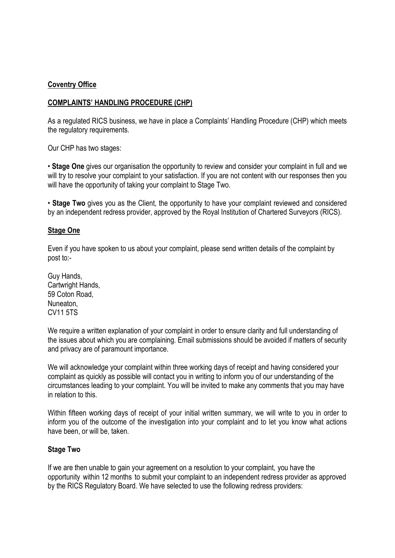## **Coventry Office**

## **COMPLAINTS' HANDLING PROCEDURE (CHP)**

As a regulated RICS business, we have in place a Complaints' Handling Procedure (CHP) which meets the regulatory requirements.

Our CHP has two stages:

• **Stage One** gives our organisation the opportunity to review and consider your complaint in full and we will try to resolve your complaint to your satisfaction. If you are not content with our responses then you will have the opportunity of taking your complaint to Stage Two.

• **Stage Two** gives you as the Client, the opportunity to have your complaint reviewed and considered by an independent redress provider, approved by the Royal Institution of Chartered Surveyors (RICS).

## **Stage One**

Even if you have spoken to us about your complaint, please send written details of the complaint by post to:-

Guy Hands, Cartwright Hands, 59 Coton Road, Nuneaton, CV11 5TS

We require a written explanation of your complaint in order to ensure clarity and full understanding of the issues about which you are complaining. Email submissions should be avoided if matters of security and privacy are of paramount importance.

We will acknowledge your complaint within three working days of receipt and having considered your complaint as quickly as possible will contact you in writing to inform you of our understanding of the circumstances leading to your complaint. You will be invited to make any comments that you may have in relation to this.

Within fifteen working days of receipt of your initial written summary, we will write to you in order to inform you of the outcome of the investigation into your complaint and to let you know what actions have been, or will be, taken.

## **Stage Two**

If we are then unable to gain your agreement on a resolution to your complaint, you have the opportunity within 12 months to submit your complaint to an independent redress provider as approved by the RICS Regulatory Board. We have selected to use the following redress providers: